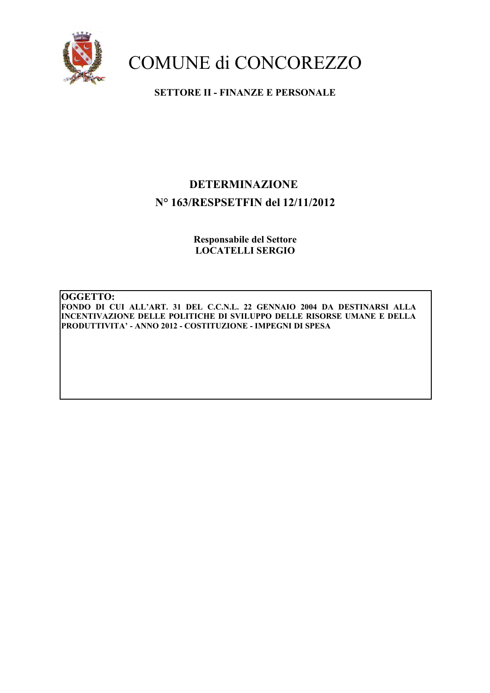

**SETTORE II - FINANZE E PERSONALE** 

### **DETERMINAZIONE** N° 163/RESPSETFIN del 12/11/2012

**Responsabile del Settore LOCATELLI SERGIO** 

OGGETTO: FONDO DI CUI ALL'ART. 31 DEL C.C.N.L. 22 GENNAIO 2004 DA DESTINARSI ALLA INCENTIVAZIONE DELLE POLITICHE DI SVILUPPO DELLE RISORSE UMANE E DELLA PRODUTTIVITA' - ANNO 2012 - COSTITUZIONE - IMPEGNI DI SPESA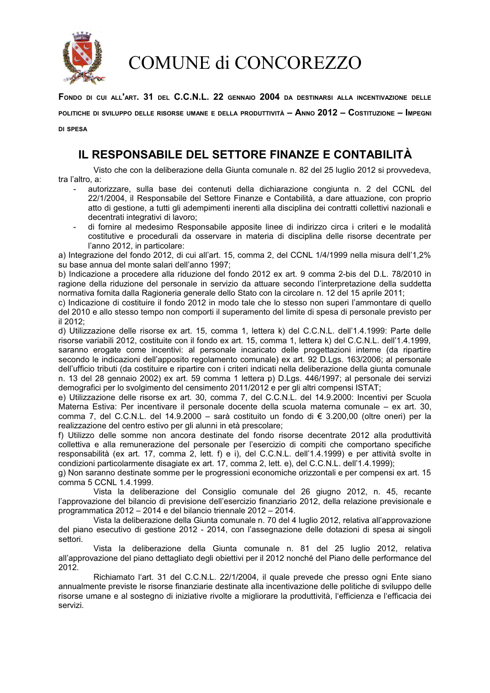

FONDO DI CUI ALL'ART. 31 DEL C.C.N.L. 22 GENNAIO 2004 DA DESTINARSI ALLA INCENTIVAZIONE DELLE

POLITICHE DI SVILUPPO DELLE RISORSE UMANE E DELLA PRODUTTIVITÀ – ANNO 2012 – COSTITUZIONE – IMPEGNI

**DI SPESA** 

### IL RESPONSABILE DEL SETTORE FINANZE E CONTABILITÀ

Visto che con la deliberazione della Giunta comunale n. 82 del 25 luglio 2012 si provvedeva. tra l'altro, a:

- autorizzare, sulla base dei contenuti della dichiarazione congiunta n. 2 del CCNL del 22/1/2004, il Responsabile del Settore Finanze e Contabilità, a dare attuazione, con proprio atto di gestione, a tutti gli adempimenti inerenti alla disciplina dei contratti collettivi nazionali e decentrati integrativi di lavoro:
- di fornire al medesimo Responsabile apposite linee di indirizzo circa i criteri e le modalità costitutive e procedurali da osservare in materia di disciplina delle risorse decentrate per l'anno 2012, in particolare:

a) Integrazione del fondo 2012, di cui all'art. 15, comma 2, del CCNL 1/4/1999 nella misura dell'1,2% su base annua del monte salari dell'anno 1997;

b) Indicazione a procedere alla riduzione del fondo 2012 ex art. 9 comma 2-bis del D.L. 78/2010 in ragione della riduzione del personale in servizio da attuare secondo l'interpretazione della suddetta normativa fornita dalla Ragioneria generale dello Stato con la circolare n. 12 del 15 aprile 2011;

c) Indicazione di costituire il fondo 2012 in modo tale che lo stesso non superi l'ammontare di quello del 2010 e allo stesso tempo non comporti il superamento del limite di spesa di personale previsto per il 2012:

d) Utilizzazione delle risorse ex art. 15, comma 1, lettera k) del C.C.N.L. dell'1.4.1999: Parte delle risorse variabili 2012, costituite con il fondo ex art. 15, comma 1, lettera k) del C.C.N.L. dell'1.4.1999, saranno erogate come incentivi: al personale incaricato delle progettazioni interne (da ripartire secondo le indicazioni dell'apposito regolamento comunale) ex art. 92 D.Lgs. 163/2006; al personale dell'ufficio tributi (da costituire e ripartire con i criteri indicati nella deliberazione della giunta comunale n. 13 del 28 gennaio 2002) ex art. 59 comma 1 lettera p) D.Lgs. 446/1997; al personale dei servizi demografici per lo svolgimento del censimento 2011/2012 e per gli altri compensi ISTAT;

e) Utilizzazione delle risorse ex art. 30, comma 7, del C.C.N.L. del 14.9.2000: Incentivi per Scuola Materna Estiva: Per incentivare il personale docente della scuola materna comunale – ex art. 30, comma 7, del C.C.N.L. del 14.9.2000 - sarà costituito un fondo di € 3.200,00 (oltre oneri) per la realizzazione del centro estivo per gli alunni in età prescolare;

f) Utilizzo delle somme non ancora destinate del fondo risorse decentrate 2012 alla produttività collettiva e alla remunerazione del personale per l'esercizio di compiti che comportano specifiche responsabilità (ex art. 17, comma 2, lett. f) e i), del C.C.N.L. dell'1.4.1999) e per attività svolte in condizioni particolarmente disagiate ex art. 17, comma 2, lett. e), del C.C.N.L. dell'1.4.1999);

g) Non saranno destinate somme per le progressioni economiche orizzontali e per compensi ex art. 15 comma 5 CCNL 1.4.1999.

Vista la deliberazione del Consiglio comunale del 26 giugno 2012, n. 45, recante l'approvazione del bilancio di previsione dell'esercizio finanziario 2012, della relazione previsionale e programmatica 2012 - 2014 e del bilancio triennale 2012 - 2014.

Vista la deliberazione della Giunta comunale n. 70 del 4 luglio 2012, relativa all'approvazione del piano esecutivo di gestione 2012 - 2014, con l'assegnazione delle dotazioni di spesa ai singoli settori

Vista la deliberazione della Giunta comunale n. 81 del 25 luglio 2012, relativa all'approvazione del piano dettagliato degli obiettivi per il 2012 nonché del Piano delle performance del 2012.

Richiamato l'art. 31 del C.C.N.L. 22/1/2004, il quale prevede che presso ogni Ente siano annualmente previste le risorse finanziarie destinate alla incentivazione delle politiche di sviluppo delle risorse umane e al sostegno di iniziative rivolte a migliorare la produttività, l'efficienza e l'efficacia dei servizi.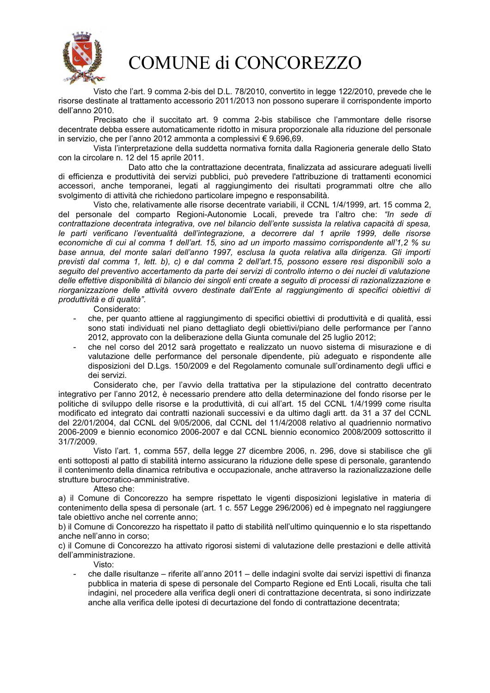

Visto che l'art. 9 comma 2-bis del D.L. 78/2010, convertito in legge 122/2010, prevede che le risorse destinate al trattamento accessorio 2011/2013 non possono superare il corrispondente importo dell'anno 2010.

Precisato che il succitato art. 9 comma 2-bis stabilisce che l'ammontare delle risorse decentrate debba essere automaticamente ridotto in misura proporzionale alla riduzione del personale in servizio, che per l'anno 2012 ammonta a complessivi € 9.696,69.

Vista l'interpretazione della suddetta normativa fornita dalla Ragioneria generale dello Stato con la circolare n. 12 del 15 aprile 2011.

Dato atto che la contrattazione decentrata, finalizzata ad assicurare adeguati livelli di efficienza e produttività dei servizi pubblici, può prevedere l'attribuzione di trattamenti economici accessori, anche temporanei, legati al raggiungimento dei risultati programmati oltre che allo svolgimento di attività che richiedono particolare impegno e responsabilità.

Visto che, relativamente alle risorse decentrate variabili, il CCNL 1/4/1999, art. 15 comma 2, del personale del comparto Regioni-Autonomie Locali, prevede tra l'altro che: "In sede di contrattazione decentrata integrativa, ove nel bilancio dell'ente sussista la relativa capacità di spesa. le parti verificano l'eventualità dell'integrazione, a decorrere dal 1 aprile 1999, delle risorse economiche di cui al comma 1 dell'art. 15, sino ad un importo massimo corrispondente all'1.2 % su base annua, del monte salari dell'anno 1997, esclusa la quota relativa alla dirigenza. Gli importi previsti dal comma 1, lett. b), c) e dal comma 2 dell'art.15, possono essere resi disponibili solo a seguito del preventivo accertamento da parte dei servizi di controllo interno o dei nuclei di valutazione delle effettive disponibilità di bilancio dei singoli enti create a seguito di processi di razionalizzazione e riorganizzazione delle attività ovvero destinate dall'Ente al raggiungimento di specifici obiettivi di produttività e di qualità".

Considerato:

- che, per quanto attiene al raggiungimento di specifici obiettivi di produttività e di qualità, essi sono stati individuati nel piano dettagliato degli obiettivi/piano delle performance per l'anno 2012, approvato con la deliberazione della Giunta comunale del 25 luglio 2012;
- che nel corso del 2012 sarà progettato e realizzato un nuovo sistema di misurazione e di valutazione delle performance del personale dipendente, più adequato e rispondente alle disposizioni del D.Lgs. 150/2009 e del Regolamento comunale sull'ordinamento degli uffici e dei servizi.

Considerato che, per l'avvio della trattativa per la stipulazione del contratto decentrato integrativo per l'anno 2012, è necessario prendere atto della determinazione del fondo risorse per le politiche di sviluppo delle risorse e la produttività, di cui all'art. 15 del CCNL 1/4/1999 come risulta modificato ed integrato dai contratti nazionali successivi e da ultimo dagli artt. da 31 a 37 del CCNL del 22/01/2004, dal CCNL del 9/05/2006, dal CCNL del 11/4/2008 relativo al quadriennio normativo 2006-2009 e biennio economico 2006-2007 e dal CCNL biennio economico 2008/2009 sottoscritto il 31/7/2009.

Visto l'art. 1, comma 557, della legge 27 dicembre 2006, n. 296, dove si stabilisce che gli enti sottoposti al patto di stabilità interno assicurano la riduzione delle spese di personale, garantendo il contenimento della dinamica retributiva e occupazionale, anche attraverso la razionalizzazione delle strutture burocratico-amministrative.

#### Atteso che:

a) il Comune di Concorezzo ha sempre rispettato le vigenti disposizioni legislative in materia di contenimento della spesa di personale (art. 1 c. 557 Legge 296/2006) ed è impegnato nel raggiungere tale obiettivo anche nel corrente anno;

b) il Comune di Concorezzo ha rispettato il patto di stabilità nell'ultimo quinquennio e lo sta rispettando anche nell'anno in corso:

c) il Comune di Concorezzo ha attivato rigorosi sistemi di valutazione delle prestazioni e delle attività dell'amministrazione.

#### Visto:

che dalle risultanze – riferite all'anno 2011 – delle indagini svolte dai servizi ispettivi di finanza pubblica in materia di spese di personale del Comparto Regione ed Enti Locali, risulta che tali indagini, nel procedere alla verifica degli oneri di contrattazione decentrata, si sono indirizzate anche alla verifica delle ipotesi di decurtazione del fondo di contrattazione decentrata;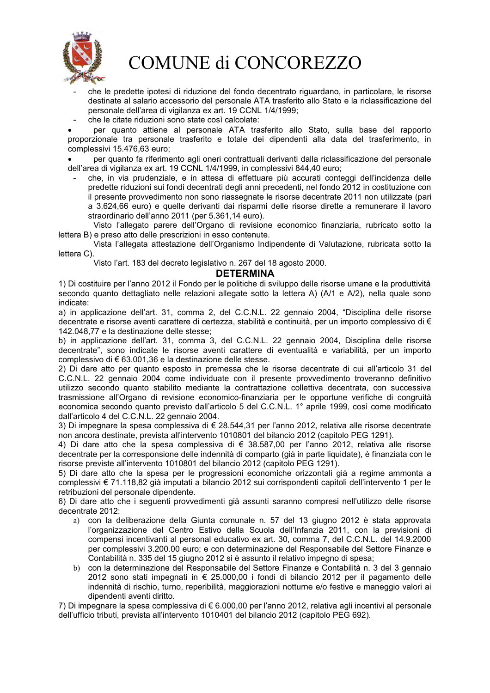

- che le predette ipotesi di riduzione del fondo decentrato riguardano, in particolare, le risorse destinate al salario accessorio del personale ATA trasferito allo Stato e la riclassificazione del personale dell'area di vigilanza ex art. 19 CCNL 1/4/1999;
- che le citate riduzioni sono state così calcolate:

per quanto attiene al personale ATA trasferito allo Stato, sulla base del rapporto proporzionale tra personale trasferito e totale dei dipendenti alla data del trasferimento, in complessivi 15.476,63 euro;

per quanto fa riferimento agli oneri contrattuali derivanti dalla riclassificazione del personale dell'area di vigilanza ex art. 19 CCNL 1/4/1999, in complessivi 844.40 euro:

che, in via prudenziale, e in attesa di effettuare più accurati conteggi dell'incidenza delle predette riduzioni sui fondi decentrati degli anni precedenti, nel fondo 2012 in costituzione con il presente provvedimento non sono riassegnate le risorse decentrate 2011 non utilizzate (pari a 3.624,66 euro) e quelle derivanti dai risparmi delle risorse dirette a remunerare il lavoro straordinario dell'anno 2011 (per 5.361,14 euro).

Visto l'allegato parere dell'Organo di revisione economico finanziaria, rubricato sotto la lettera B) e preso atto delle prescrizioni in esso contenute.

Vista l'allegata attestazione dell'Organismo Indipendente di Valutazione, rubricata sotto la lettera C).

Visto l'art. 183 del decreto legislativo n. 267 del 18 agosto 2000.

### **DETERMINA**

1) Di costituire per l'anno 2012 il Fondo per le politiche di sviluppo delle risorse umane e la produttività secondo quanto dettagliato nelle relazioni allegate sotto la lettera A) (A/1 e A/2), nella quale sono indicate:

a) in applicazione dell'art. 31, comma 2, del C.C.N.L. 22 gennaio 2004, "Disciplina delle risorse decentrate e risorse aventi carattere di certezza, stabilità e continuità, per un importo complessivo di € 142.048.77 e la destinazione delle stesse:

b) in applicazione dell'art. 31, comma 3, del C.C.N.L. 22 gennaio 2004, Disciplina delle risorse decentrate", sono indicate le risorse aventi carattere di eventualità e variabilità, per un importo complessivo di € 63.001.36 e la destinazione delle stesse.

2) Di dare atto per quanto esposto in premessa che le risorse decentrate di cui all'articolo 31 del C.C.N.L. 22 gennaio 2004 come individuate con il presente provvedimento troveranno definitivo utilizzo secondo quanto stabilito mediante la contrattazione collettiva decentrata, con successiva trasmissione all'Organo di revisione economico-finanziaria per le opportune verifiche di congruità economica secondo quanto previsto dall'articolo 5 del C.C.N.L. 1° aprile 1999, così come modificato dall'articolo 4 del C.C.N.L. 22 gennaio 2004.

3) Di impegnare la spesa complessiva di € 28.544,31 per l'anno 2012, relativa alle risorse decentrate non ancora destinate, prevista all'intervento 1010801 del bilancio 2012 (capitolo PEG 1291).

4) Di dare atto che la spesa complessiva di € 38.587,00 per l'anno 2012, relativa alle risorse decentrate per la corresponsione delle indennità di comparto (già in parte liquidate), è finanziata con le risorse previste all'intervento 1010801 del bilancio 2012 (capitolo PEG 1291).

5) Di dare atto che la spesa per le progressioni economiche orizzontali già a regime ammonta a complessivi € 71.118.82 già imputati a bilancio 2012 sui corrispondenti capitoli dell'intervento 1 per le retribuzioni del personale dipendente.

6) Di dare atto che i seguenti provvedimenti già assunti saranno compresi nell'utilizzo delle risorse decentrate 2012:

- a) con la deliberazione della Giunta comunale n. 57 del 13 giugno 2012 è stata approvata l'organizzazione del Centro Estivo della Scuola dell'Infanzia 2011, con la previsioni di compensi incentivanti al personal educativo ex art. 30, comma 7, del C.C.N.L. del 14.9.2000 per complessivi 3.200.00 euro; e con determinazione del Responsabile del Settore Finanze e Contabilità n. 335 del 15 giugno 2012 si è assunto il relativo impegno di spesa;
- b) con la determinazione del Responsabile del Settore Finanze e Contabilità n. 3 del 3 gennaio 2012 sono stati impegnati in € 25.000.00 i fondi di bilancio 2012 per il pagamento delle indennità di rischio, turno, reperibilità, maggiorazioni notturne e/o festive e maneggio valori ai dipendenti aventi diritto.

7) Di impegnare la spesa complessiva di € 6.000,00 per l'anno 2012, relativa agli incentivi al personale dell'ufficio tributi, prevista all'intervento 1010401 del bilancio 2012 (capitolo PEG 692).